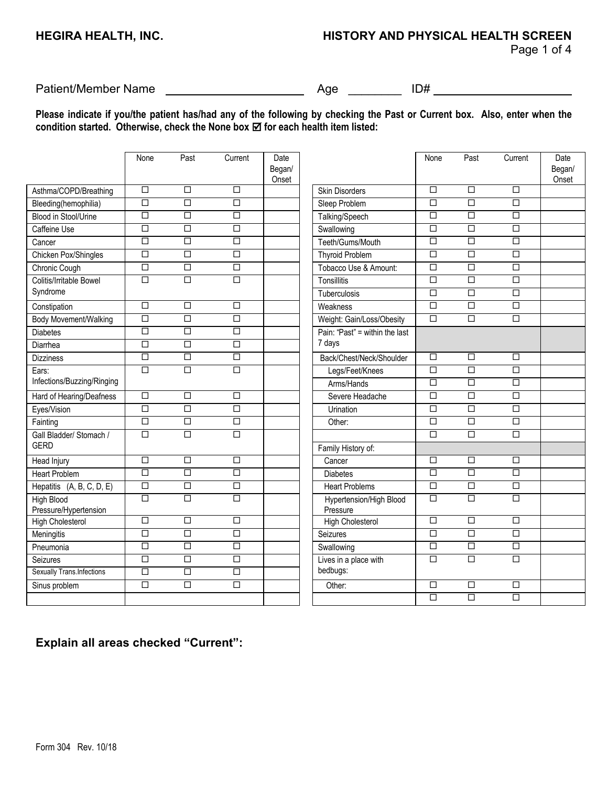Page 1 of 4

Patient/Member Name Age \_\_\_\_\_\_\_\_ ID#

**Please indicate if you/the patient has/had any of the following by checking the Past or Current box. Also, enter when the condition started. Otherwise, check the None box**  $⊠$  **for each health item listed:** 

|                                     | None                 | Past                 | Current              | Date<br>Began/<br>Onset |                                     | None                 | Past                 | Current              | Date<br>Began/<br>Onset |
|-------------------------------------|----------------------|----------------------|----------------------|-------------------------|-------------------------------------|----------------------|----------------------|----------------------|-------------------------|
| Asthma/COPD/Breathing               | $\Box$               | $\overline{\Box}$    | $\Box$               |                         | <b>Skin Disorders</b>               | $\overline{\Box}$    | $\Box$               | $\Box$               |                         |
| Bleeding(hemophilia)                | $\overline{\Box}$    | $\Box$               | $\overline{\square}$ |                         | Sleep Problem                       | $\overline{\square}$ | $\overline{\square}$ | $\overline{\square}$ |                         |
| Blood in Stool/Urine                | $\overline{\Box}$    | $\Box$               | $\Box$               |                         | Talking/Speech                      | $\Box$               | $\Box$               | $\overline{\Box}$    |                         |
| Caffeine Use                        | $\Box$               | $\Box$               | $\Box$               |                         | Swallowing                          | $\Box$               | $\Box$               | $\Box$               |                         |
| Cancer                              | $\Box$               | $\Box$               | $\overline{\Box}$    |                         | Teeth/Gums/Mouth                    | $\Box$               | $\Box$               | $\Box$               |                         |
| Chicken Pox/Shingles                | $\Box$               | $\Box$               | $\overline{\Box}$    |                         | <b>Thyroid Problem</b>              | $\overline{\square}$ | $\Box$               | $\overline{\Box}$    |                         |
| Chronic Cough                       | $\Box$               | $\Box$               | $\Box$               |                         | Tobacco Use & Amount:               | $\Box$               | $\Box$               | $\Box$               |                         |
| Colitis/Irritable Bowel             | $\Box$               | $\Box$               | $\Box$               |                         | Tonsillitis                         | $\Box$               | $\Box$               | $\Box$               |                         |
| Syndrome                            |                      |                      |                      |                         | Tuberculosis                        | $\Box$               | $\Box$               | $\Box$               |                         |
| Constipation                        | $\Box$               | $\Box$               | $\Box$               |                         | Weakness                            | $\Box$               | $\Box$               | $\Box$               |                         |
| Body Movement/Walking               | $\Box$               | $\Box$               | $\Box$               |                         | Weight: Gain/Loss/Obesity           | $\Box$               | $\Box$               | $\Box$               |                         |
| <b>Diabetes</b>                     | $\overline{\square}$ | $\overline{\square}$ | $\Box$               |                         | Pain: "Past" = within the last      |                      |                      |                      |                         |
| Diarrhea                            | $\Box$               | $\Box$               | $\Box$               |                         | 7 days                              |                      |                      |                      |                         |
| <b>Dizziness</b>                    | $\Box$               | $\Box$               | $\Box$               |                         | Back/Chest/Neck/Shoulder            | □                    | $\Box$               | □                    |                         |
| Ears:                               | $\Box$               | $\Box$               | $\Box$               |                         | Legs/Feet/Knees                     | $\Box$               | $\Box$               | $\Box$               |                         |
| Infections/Buzzing/Ringing          |                      |                      |                      |                         | Arms/Hands                          | $\overline{\square}$ | $\overline{\square}$ | $\overline{\square}$ |                         |
| Hard of Hearing/Deafness            | $\overline{\Box}$    | $\Box$               | $\Box$               |                         | Severe Headache                     | $\overline{\Box}$    | $\Box$               | $\overline{\Box}$    |                         |
| Eyes/Vision                         | $\overline{\square}$ | $\overline{\square}$ | $\overline{\square}$ |                         | Urination                           | $\overline{\square}$ | $\overline{\square}$ | $\Box$               |                         |
| Fainting                            | $\overline{\Box}$    | $\overline{\Box}$    | $\overline{\Box}$    |                         | Other:                              | $\overline{\Box}$    | $\overline{\Box}$    | $\overline{\Box}$    |                         |
| Gall Bladder/ Stomach /             | $\overline{\square}$ | $\Box$               | $\overline{\square}$ |                         |                                     | $\overline{\square}$ | $\overline{\square}$ | $\overline{\square}$ |                         |
| <b>GERD</b>                         |                      |                      |                      |                         | Family History of:                  |                      |                      |                      |                         |
| Head Injury                         | $\overline{\square}$ | $\overline{\square}$ | $\overline{\Box}$    |                         | Cancer                              | $\Box$               | $\Box$               | $\overline{\square}$ |                         |
| <b>Heart Problem</b>                | $\overline{\Box}$    | $\overline{\square}$ | $\overline{\square}$ |                         | <b>Diabetes</b>                     | $\overline{\square}$ | $\overline{\Box}$    | $\overline{\square}$ |                         |
| Hepatitis $(A, B, C, D, E)$         | $\overline{\Box}$    | $\overline{\Box}$    | $\Box$               |                         | <b>Heart Problems</b>               | $\overline{\Box}$    | $\overline{\Box}$    | $\overline{\square}$ |                         |
| High Blood<br>Pressure/Hypertension | $\Box$               | $\Box$               | $\Box$               |                         | Hypertension/High Blood<br>Pressure | $\Box$               | $\Box$               | $\Box$               |                         |
| <b>High Cholesterol</b>             | $\Box$               | $\Box$               | $\Box$               |                         | <b>High Cholesterol</b>             | $\Box$               | $\Box$               | $\Box$               |                         |
| Meningitis                          | $\Box$               | $\overline{\square}$ | $\Box$               |                         | Seizures                            | $\Box$               | $\overline{\square}$ | $\overline{\square}$ |                         |
| Pneumonia                           | $\Box$               | $\Box$               | $\Box$               |                         | Swallowing                          | $\Box$               | $\Box$               | $\Box$               |                         |
| Seizures                            | $\overline{\Box}$    | $\Box$               | $\overline{\Box}$    |                         | Lives in a place with               | $\Box$               | $\overline{\Box}$    | $\Box$               |                         |
| Sexually Trans.Infections           | $\overline{\Box}$    | $\overline{\square}$ | $\overline{\square}$ |                         | bedbugs:                            |                      |                      |                      |                         |
| Sinus problem                       | $\Box$               | $\Box$               | $\overline{\Box}$    |                         | Other:                              | $\overline{\Box}$    | $\overline{\Box}$    | $\overline{\Box}$    |                         |
|                                     |                      |                      |                      |                         |                                     | $\Box$               | $\overline{\square}$ | $\overline{\Box}$    |                         |
|                                     |                      |                      |                      |                         |                                     |                      |                      |                      |                         |

## **Explain all areas checked "Current":**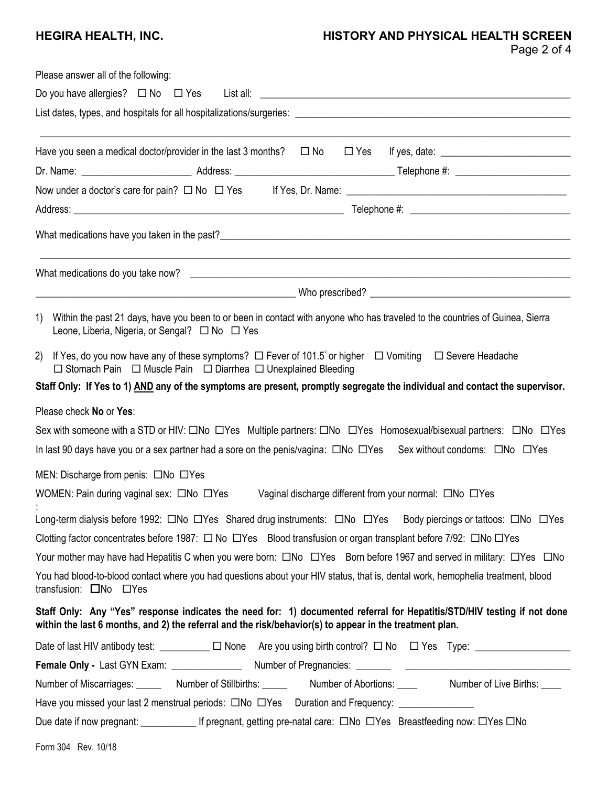# **HEGIRA HEALTH, INC. HISTORY AND PHYSICAL HEALTH SCREEN**

|  | Page 2 of 4 |  |  |  |
|--|-------------|--|--|--|
|--|-------------|--|--|--|

| Please answer all of the following:                                                                                                                                                                                                |
|------------------------------------------------------------------------------------------------------------------------------------------------------------------------------------------------------------------------------------|
| Do you have allergies? $\square$ No $\square$ Yes List all: $\square$                                                                                                                                                              |
|                                                                                                                                                                                                                                    |
| Have you seen a medical doctor/provider in the last 3 months? $\square$ No                                                                                                                                                         |
|                                                                                                                                                                                                                                    |
|                                                                                                                                                                                                                                    |
|                                                                                                                                                                                                                                    |
|                                                                                                                                                                                                                                    |
|                                                                                                                                                                                                                                    |
|                                                                                                                                                                                                                                    |
| 1)<br>Within the past 21 days, have you been to or been in contact with anyone who has traveled to the countries of Guinea, Sierra<br>Leone, Liberia, Nigeria, or Sengal? □ No □ Yes                                               |
| If Yes, do you now have any of these symptoms? $\Box$ Fever of 101.5° or higher $\Box$ Vomiting $\Box$ Severe Headache<br>2)<br>$\Box$ Stomach Pain $\Box$ Muscle Pain $\Box$ Diarrhea $\Box$ Unexplained Bleeding                 |
| Staff Only: If Yes to 1) AND any of the symptoms are present, promptly segregate the individual and contact the supervisor.                                                                                                        |
| Please check No or Yes:                                                                                                                                                                                                            |
| Sex with someone with a STD or HIV: ONo OYes Multiple partners: ONo OYes Homosexual/bisexual partners: ONo OYes                                                                                                                    |
| In last 90 days have you or a sex partner had a sore on the penis/vagina: $\Box$ No $\Box$ Yes Sex without condoms: $\Box$ No $\Box$ Yes                                                                                           |
| MEN: Discharge from penis: ONo OYes                                                                                                                                                                                                |
| WOMEN: Pain during vaginal sex: ONo OYes<br>Vaginal discharge different from your normal: □No □Yes                                                                                                                                 |
| Long-term dialysis before 1992: □No □Yes Shared drug instruments: □No □Yes Body piercings or tattoos: □No □Yes                                                                                                                     |
| Clotting factor concentrates before 1987: □ No □ Yes Blood transfusion or organ transplant before 7/92: □ No □ Yes                                                                                                                 |
| Your mother may have had Hepatitis C when you were born: $\square$ No $\square$ Yes Born before 1967 and served in military: $\square$ Yes $\square$ No                                                                            |
| You had blood-to-blood contact where you had questions about your HIV status, that is, dental work, hemophelia treatment, blood<br>transfusion: □No □Yes                                                                           |
| Staff Only: Any "Yes" response indicates the need for: 1) documented referral for Hepatitis/STD/HIV testing if not done<br>within the last 6 months, and 2) the referral and the risk/behavior(s) to appear in the treatment plan. |
| Date of last HIV antibody test: _________ □ None Are you using birth control? □ No □ Yes Type: _______________                                                                                                                     |
|                                                                                                                                                                                                                                    |
| Number of Miscarriages: ________ Number of Stillbirths: ______ Number of Abortions: _____ Number of Live Births: ____                                                                                                              |
|                                                                                                                                                                                                                                    |
| Due date if now pregnant: ________________ If pregnant, getting pre-natal care: □No □Yes Breastfeeding now: □Yes □No                                                                                                               |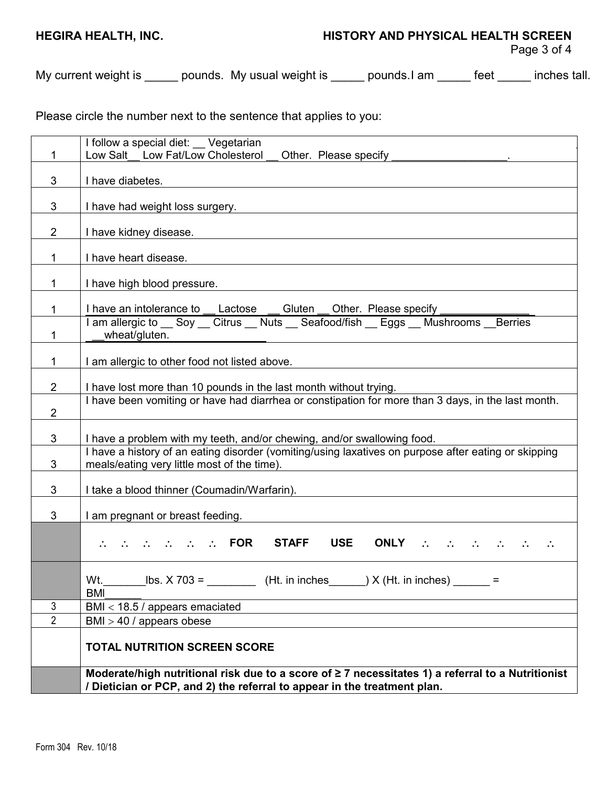### **HEGIRA HEALTH, INC. HISTORY AND PHYSICAL HEALTH SCREEN**

My current weight is \_\_\_\_\_ pounds. My usual weight is \_\_\_\_\_ pounds.I am \_\_\_\_\_ feet \_\_\_\_\_ inches tall.

Please circle the number next to the sentence that applies to you:

|                | I follow a special diet: __ Vegetarian                                                                                                                                                                                                                                   |  |
|----------------|--------------------------------------------------------------------------------------------------------------------------------------------------------------------------------------------------------------------------------------------------------------------------|--|
|                | Low Salt Low Fat/Low Cholesterol<br>Other. Please specify                                                                                                                                                                                                                |  |
| 3              | I have diabetes.                                                                                                                                                                                                                                                         |  |
| 3              | I have had weight loss surgery.                                                                                                                                                                                                                                          |  |
| $\overline{2}$ | I have kidney disease.                                                                                                                                                                                                                                                   |  |
|                | I have heart disease.                                                                                                                                                                                                                                                    |  |
|                | I have high blood pressure.                                                                                                                                                                                                                                              |  |
|                | I have an intolerance to Lactose<br>Gluten Other. Please specify                                                                                                                                                                                                         |  |
|                | I am allergic to <b>Soy  Citrus      Nuts Seafood/fish Lggs      Mushrooms      Lerries</b> Lerries      Lerries      Lerries      Lerries      Lerries      Lerries      Lerries      Lerries      Lerries<br>wheat/gluten.                                             |  |
|                | I am allergic to other food not listed above.                                                                                                                                                                                                                            |  |
| $2^{\circ}$    | I have lost more than 10 pounds in the last month without trying.                                                                                                                                                                                                        |  |
| $\overline{2}$ | I have been vomiting or have had diarrhea or constipation for more than 3 days, in the last month.                                                                                                                                                                       |  |
| 3              | I have a problem with my teeth, and/or chewing, and/or swallowing food.                                                                                                                                                                                                  |  |
| 3              | I have a history of an eating disorder (vomiting/using laxatives on purpose after eating or skipping<br>meals/eating very little most of the time).                                                                                                                      |  |
| 3              | I take a blood thinner (Coumadin/Warfarin).                                                                                                                                                                                                                              |  |
| 3              | I am pregnant or breast feeding.                                                                                                                                                                                                                                         |  |
|                | $\mathbb{R}^n$ and $\mathbb{R}^n$ and $\mathbb{R}^n$ and $\mathbb{R}^n$ . FOR<br><b>STAFF</b><br><b>USE</b><br>ONLY $\begin{array}{ccccccccccccccl} \therefore & \therefore & \therefore & \therefore & \therefore & \therefore & \therefore & \therefore & \end{array}$ |  |
|                | Wt.<br><b>BMI</b>                                                                                                                                                                                                                                                        |  |
| $\mathbf{3}$   | BMI < 18.5 / appears emaciated                                                                                                                                                                                                                                           |  |
| $\overline{2}$ | $BMI > 40$ / appears obese                                                                                                                                                                                                                                               |  |
|                | <b>TOTAL NUTRITION SCREEN SCORE</b>                                                                                                                                                                                                                                      |  |
|                | Moderate/high nutritional risk due to a score of ≥ 7 necessitates 1) a referral to a Nutritionist<br>/ Dietician or PCP, and 2) the referral to appear in the treatment plan.                                                                                            |  |
|                |                                                                                                                                                                                                                                                                          |  |